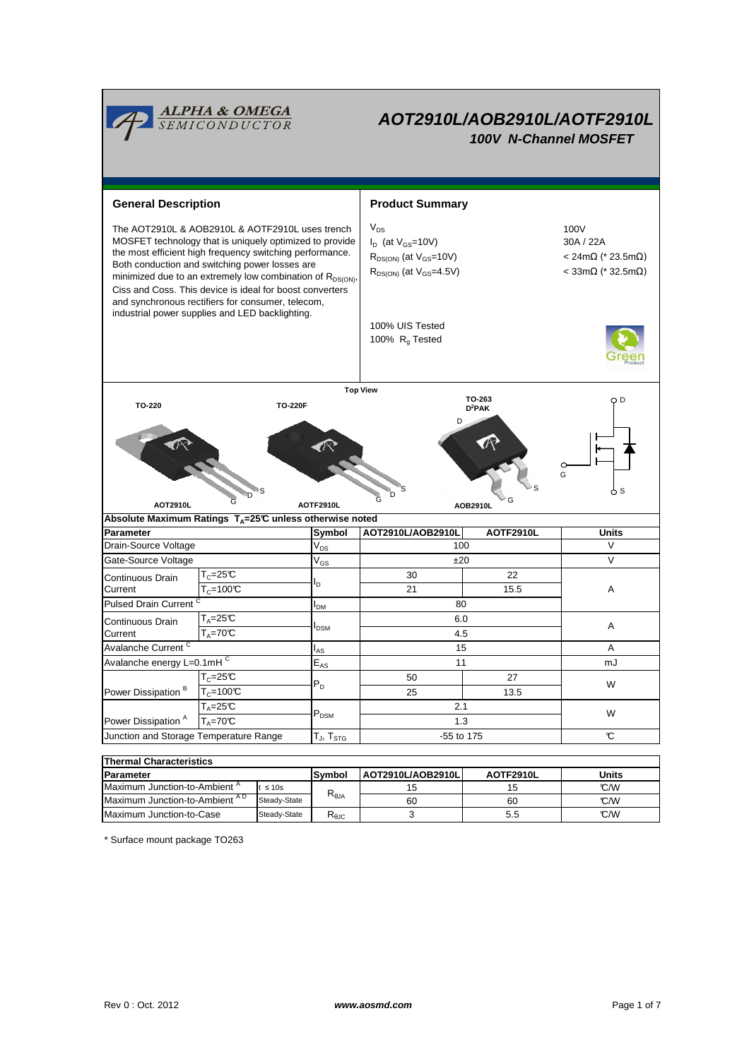

| <b>IParameter</b>                         |              | Symbol | <b>AOT2910L/AOB2910LI</b><br>AOTF2910L |     | Units |  |  |  |  |  |
|-------------------------------------------|--------------|--------|----------------------------------------|-----|-------|--|--|--|--|--|
| Maximum Junction-to-Ambient <sup>"</sup>  | $t \leq 10s$ |        |                                        |     | °C/W  |  |  |  |  |  |
| Maximum Junction-to-Ambient <sup>AD</sup> | Steady-State | ιALθ   | 60                                     | 60  | °C/W  |  |  |  |  |  |
| Maximum Junction-to-Case                  | Steady-State | ι θΩ   |                                        | 5.5 | C/W   |  |  |  |  |  |

\* Surface mount package TO263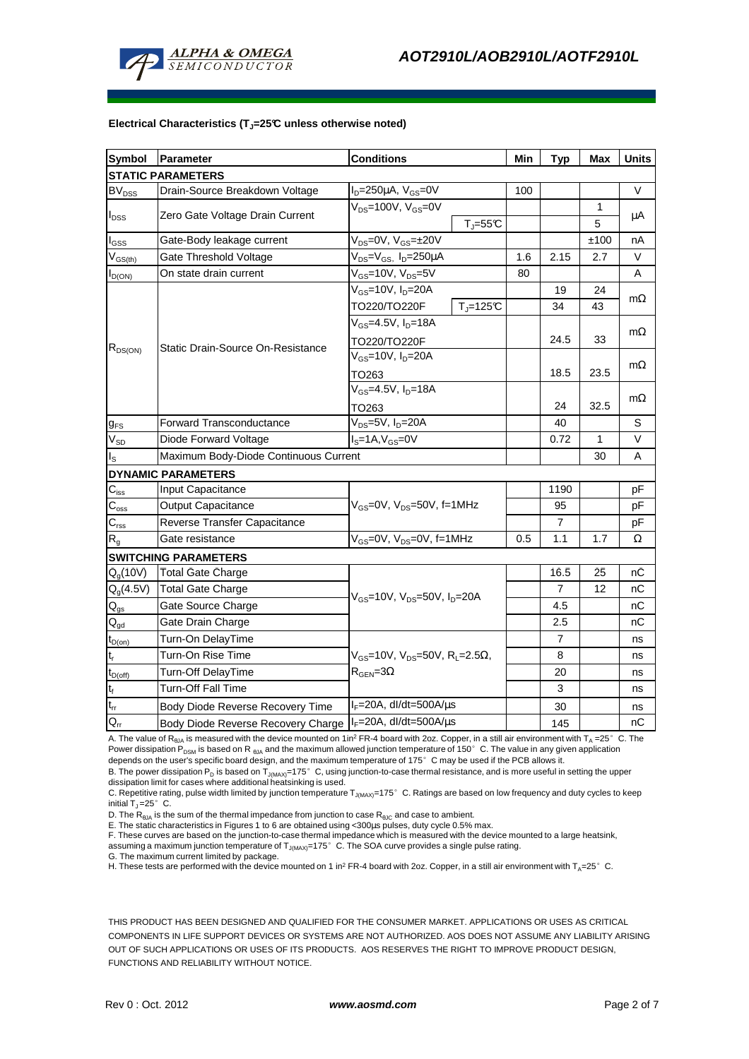

#### **Electrical Characteristics (TJ=25°C unless otherwise noted)**

| <b>Symbol</b>                          | Parameter<br><b>Conditions</b>                                                     |                                                              | Min          | <b>Typ</b> | <b>Max</b> | <b>Units</b> |           |  |
|----------------------------------------|------------------------------------------------------------------------------------|--------------------------------------------------------------|--------------|------------|------------|--------------|-----------|--|
|                                        | <b>STATIC PARAMETERS</b>                                                           |                                                              |              |            |            |              |           |  |
| BV <sub>DSS</sub>                      | Drain-Source Breakdown Voltage                                                     | $I_D = 250 \mu A$ , $V_{GS} = 0V$                            |              | 100        |            |              | V         |  |
|                                        | Zero Gate Voltage Drain Current                                                    | $V_{DS}$ =100V, $V_{GS}$ =0V<br>$T_J = 55C$                  |              |            |            | 1            | μA        |  |
| $I_{DSS}$                              |                                                                                    |                                                              |              |            |            | 5            |           |  |
| $I_{GSS}$                              | Gate-Body leakage current                                                          | $V_{DS} = 0V$ , $V_{GS} = \pm 20V$                           |              |            |            | ±100         | nA        |  |
| $\rm V_{GS(th)}$                       | Gate Threshold Voltage<br>V <sub>DS</sub> =V <sub>GS</sub> , I <sub>D</sub> =250µA |                                                              |              | 1.6        | 2.15       | 2.7          | V         |  |
| $I_{D(ON)}$                            | $V_{GS}$ =10V, $V_{DS}$ =5V<br>On state drain current                              |                                                              |              | 80         |            |              | A         |  |
| $R_{DS(ON)}$                           |                                                                                    | V <sub>GS</sub> =10V, I <sub>D</sub> =20A                    |              |            | 19         | 24           |           |  |
|                                        |                                                                                    | TO220/TO220F                                                 | $T_J = 125C$ |            | 34         | 43           | $m\Omega$ |  |
|                                        |                                                                                    | $V_{GS} = 4.5V, I_D = 18A$                                   |              |            |            |              |           |  |
|                                        |                                                                                    | TO220/TO220F                                                 |              |            | 24.5       | 33           | $m\Omega$ |  |
|                                        | Static Drain-Source On-Resistance                                                  | $V_{GS}$ =10V, $I_D$ =20A                                    |              |            |            |              |           |  |
|                                        |                                                                                    | TO263                                                        |              |            | 18.5       | 23.5         | $m\Omega$ |  |
|                                        |                                                                                    | $V_{GS} = 4.5V, I_D = 18A$<br>TO263                          |              |            |            |              |           |  |
|                                        |                                                                                    |                                                              |              |            | 24         | 32.5         | $m\Omega$ |  |
| $g_{FS}$                               | V <sub>DS</sub> =5V, I <sub>D</sub> =20A<br><b>Forward Transconductance</b>        |                                                              |              |            | 40         |              | S         |  |
| $\rm V_{\rm SD}$                       | $IS=1A, VGS=0V$<br>Diode Forward Voltage                                           |                                                              |              |            | 0.72       | 1            | $\vee$    |  |
| $I_{\rm S}$                            | Maximum Body-Diode Continuous Current                                              |                                                              |              |            |            | 30           | A         |  |
|                                        | <b>DYNAMIC PARAMETERS</b>                                                          |                                                              |              |            |            |              |           |  |
| $C_{\text{iss}}$                       | Input Capacitance                                                                  | $V_{GS}$ =0V, $V_{DS}$ =50V, f=1MHz                          |              |            | 1190       |              | рF        |  |
| $\overline{C}_{\mathrm{oss}}$          | Output Capacitance                                                                 |                                                              |              |            | 95         |              | рF        |  |
| $\overline{C_{\rm rss}}$               | Reverse Transfer Capacitance                                                       |                                                              |              |            | 7          |              | pF        |  |
| $R_q$                                  | Gate resistance                                                                    | $V_{GS}$ =0V, $V_{DS}$ =0V, f=1MHz                           |              | 0.5        | 1.1        | 1.7          | Ω         |  |
|                                        | <b>SWITCHING PARAMETERS</b>                                                        |                                                              |              |            |            |              |           |  |
| Q <sub>q</sub> (10V)                   | <b>Total Gate Charge</b>                                                           | $V_{GS}$ =10V, $V_{DS}$ =50V, $I_{D}$ =20A                   |              |            | 16.5       | 25           | nС        |  |
| $Q_q(4.5V)$                            | <b>Total Gate Charge</b>                                                           |                                                              |              |            | 7          | 12           | nС        |  |
| $\mathbf{Q}_\text{gs}$                 | Gate Source Charge                                                                 |                                                              |              |            | 4.5        |              | nС        |  |
| $\mathsf{Q}_{\underline{\mathsf{gd}}}$ | Gate Drain Charge                                                                  |                                                              |              |            | 2.5        |              | nС        |  |
| $t_{D(on)}$                            | Turn-On DelayTime                                                                  |                                                              |              |            | 7          |              | ns        |  |
| $\mathsf{t}_{\sf r}$                   | Turn-On Rise Time                                                                  | $V_{GS}$ =10V, $V_{DS}$ =50V, R <sub>1</sub> =2.5 $\Omega$ , |              |            | 8          |              | ns        |  |
| $t_{D(off)}$                           | Turn-Off DelayTime<br>$R_{\text{GEN}} = 3\Omega$                                   |                                                              |              |            | 20         |              | ns        |  |
| $\mathsf{t}_{\mathsf{f}}$              | <b>Turn-Off Fall Time</b>                                                          |                                                              |              |            | 3          |              | ns        |  |
| $t_{rr}$                               | Body Diode Reverse Recovery Time                                                   | $I_F = 20A$ , dl/dt=500A/ $\mu$ s                            |              |            | 30         |              | ns        |  |
| $\overline{Q}_{rr}$                    | Body Diode Reverse Recovery Charge   IF=20A, dl/dt=500A/us                         |                                                              |              |            | 145        |              | nС        |  |

A. The value of R<sub>ala</sub> is measured with the device mounted on 1in<sup>2</sup> FR-4 board with 2oz. Copper, in a still air environment with T<sub>a</sub> =25°C. The Power dissipation P<sub>DSM</sub> is based on R <sub>θJA</sub> and the maximum allowed junction temperature of 150°C. The value in any given application depends on the user's specific board design, and the maximum temperature of 175°C may be used if the PCB allows it.

B. The power dissipation P<sub>D</sub> is based on T<sub>J(MAX)</sub>=175°C, using junction-to-case thermal resistance, and is more useful in setting the upper dissipation limit for cases where additional heatsinking is used.

C. Repetitive rating, pulse width limited by junction temperature  $T_{J(MAX)}$ =175°C. Ratings are based on low frequency and duty cycles to keep initial  $T_J = 25^\circ$  C.

D. The  $R_{\theta JA}$  is the sum of the thermal impedance from junction to case  $R_{\theta JC}$  and case to ambient.

E. The static characteristics in Figures 1 to 6 are obtained using <300µs pulses, duty cycle 0.5% max.

F. These curves are based on the junction-to-case thermal impedance which is measured with the device mounted to a large heatsink, assuming a maximum junction temperature of  $T_{J(MAX)}=175^{\circ}$  C. The SOA curve provides a single pulse rating.

G. The maximum current limited by package.

H. These tests are performed with the device mounted on 1 in<sup>2</sup> FR-4 board with 2oz. Copper, in a still air environment with T<sub>A</sub>=25°C.

THIS PRODUCT HAS BEEN DESIGNED AND QUALIFIED FOR THE CONSUMER MARKET. APPLICATIONS OR USES AS CRITICAL COMPONENTS IN LIFE SUPPORT DEVICES OR SYSTEMS ARE NOT AUTHORIZED. AOS DOES NOT ASSUME ANY LIABILITY ARISING OUT OF SUCH APPLICATIONS OR USES OF ITS PRODUCTS. AOS RESERVES THE RIGHT TO IMPROVE PRODUCT DESIGN, FUNCTIONS AND RELIABILITY WITHOUT NOTICE.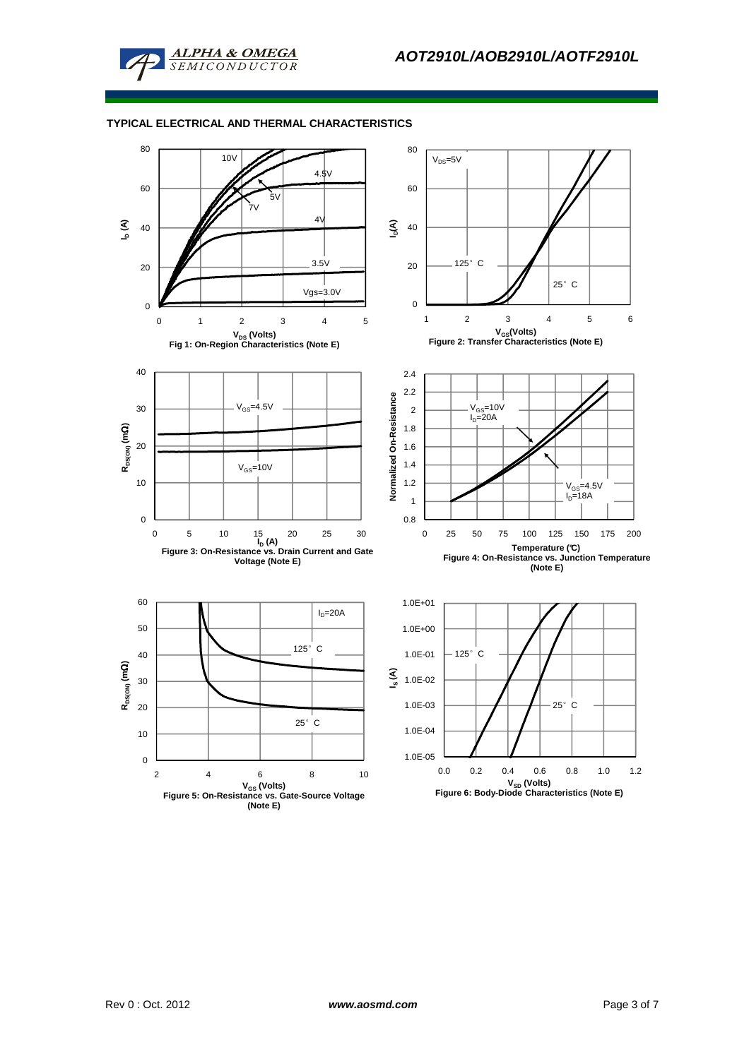

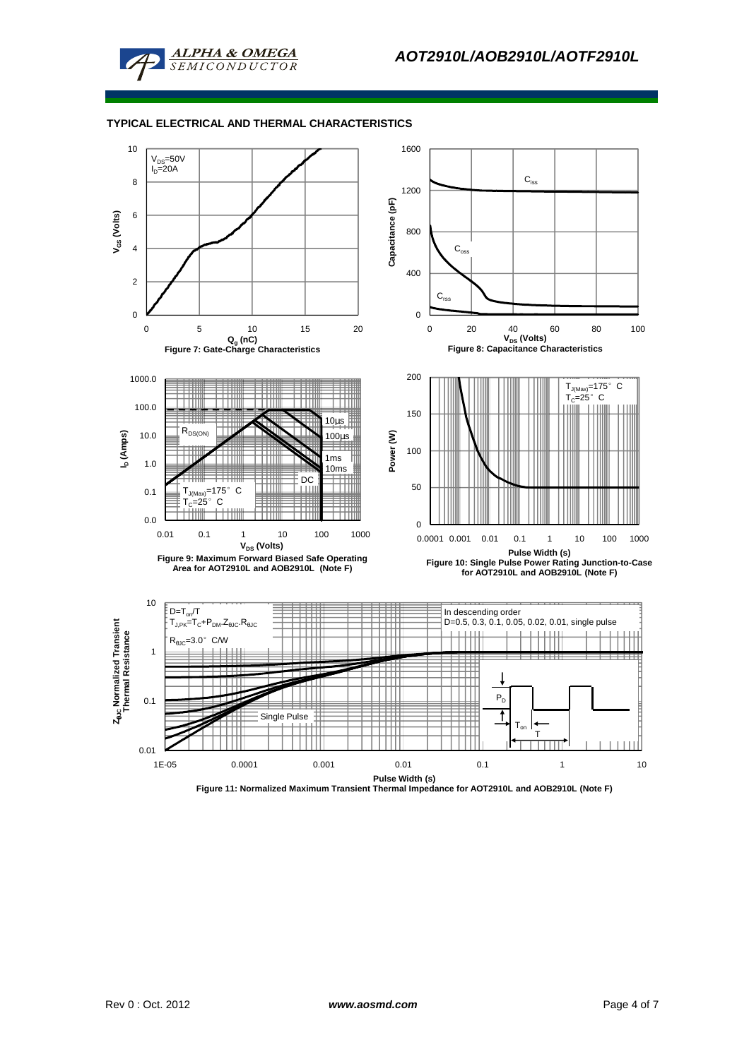



**Figure 11: Normalized Maximum Transient Thermal Impedance for AOT2910L and AOB2910L (Note F)**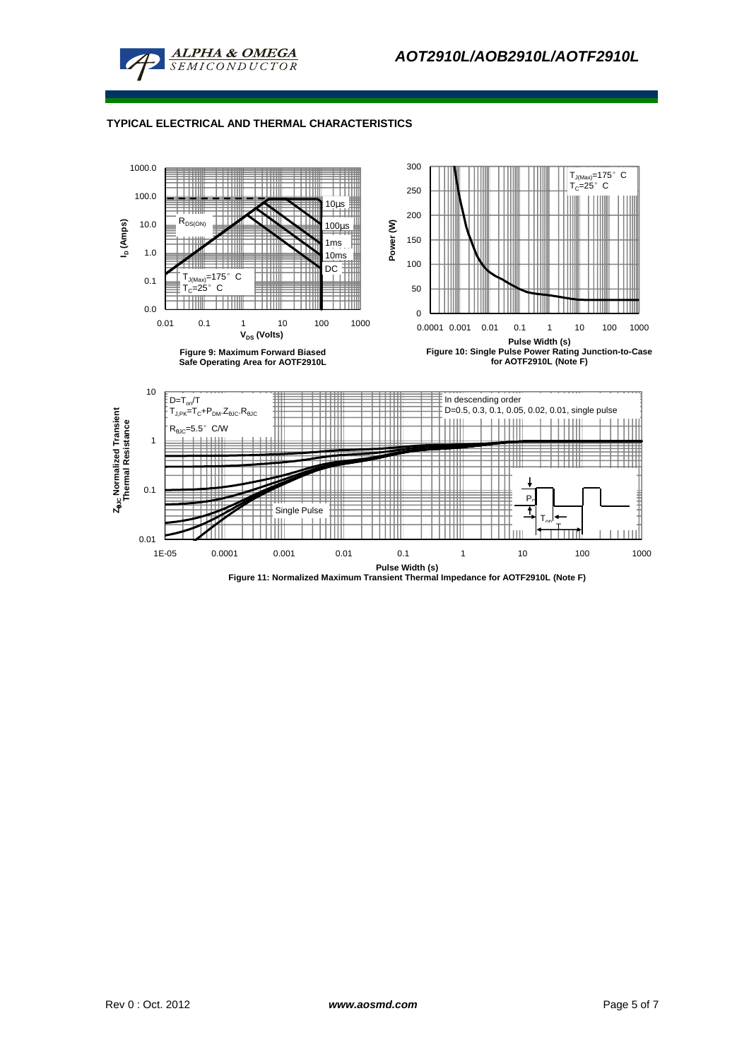



**Figure 11: Normalized Maximum Transient Thermal Impedance for AOTF2910L (Note F)**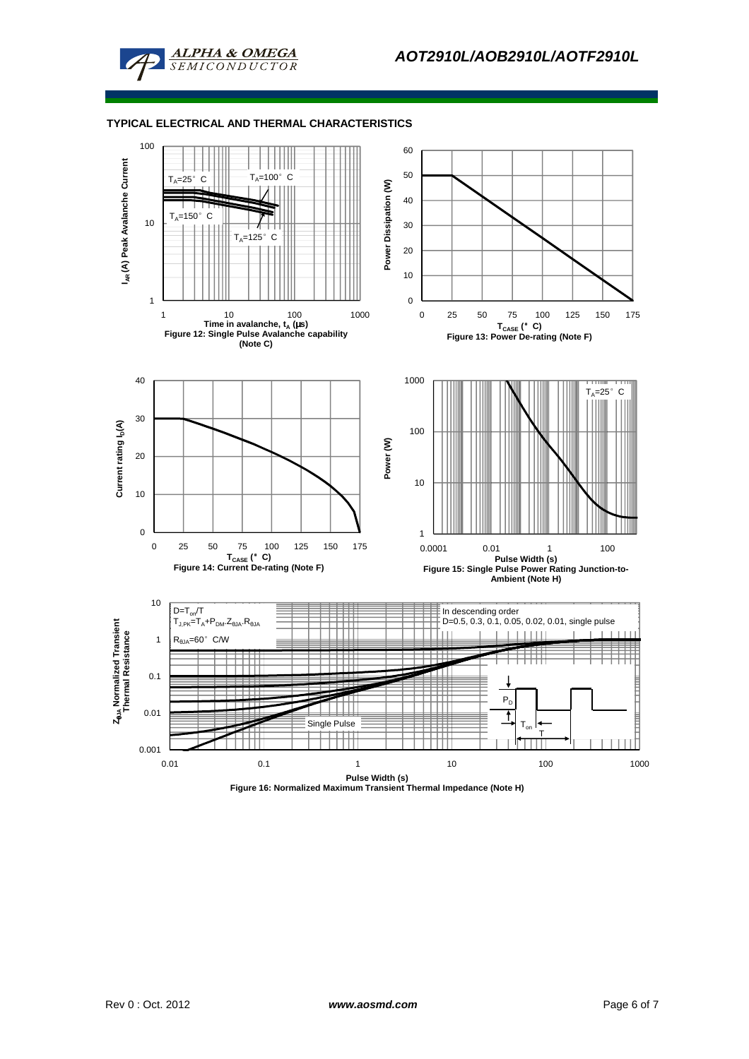